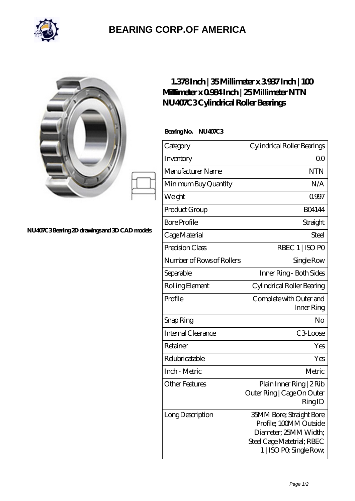

## **[BEARING CORP.OF AMERICA](https://bluemondayreview.com)**

| NU407C3Bearing 2D drawings and 3D CAD models | $1.378$ Inch   35Millimeter x 3937 Inch   100<br>Millimeter x 0984 Inch   25 Millimeter NTN<br>NU407C3Cylindrical Roller Bearings |                                                                             |
|----------------------------------------------|-----------------------------------------------------------------------------------------------------------------------------------|-----------------------------------------------------------------------------|
|                                              | BearingNo.<br><b>NU407C3</b>                                                                                                      |                                                                             |
|                                              | Category                                                                                                                          | Cylindrical Roller Bearings                                                 |
|                                              | Inventory                                                                                                                         | 0 <sup>0</sup>                                                              |
|                                              | Manufacturer Name                                                                                                                 | <b>NTN</b>                                                                  |
|                                              | Minimum Buy Quantity                                                                                                              | N/A                                                                         |
|                                              | Weight                                                                                                                            | 0.997                                                                       |
|                                              | Product Group                                                                                                                     | <b>BO4144</b>                                                               |
|                                              | <b>Bore Profile</b>                                                                                                               | Straight                                                                    |
|                                              | Cage Material                                                                                                                     | Steel                                                                       |
|                                              | Precision Class                                                                                                                   | RBEC 1   ISO PO                                                             |
|                                              | Number of Rows of Rollers                                                                                                         | Single Row                                                                  |
|                                              | Separable                                                                                                                         | Inner Ring - Both Sides                                                     |
|                                              | Rolling Element                                                                                                                   | Cylindrical Roller Bearing                                                  |
|                                              | Profile                                                                                                                           | Complete with Outer and<br>Inner Ring                                       |
|                                              | Snap Ring                                                                                                                         | No                                                                          |
|                                              | Internal Clearance                                                                                                                | C3Loose                                                                     |
|                                              | Retainer                                                                                                                          | Yes                                                                         |
|                                              | Relubricatable                                                                                                                    | Yes                                                                         |
|                                              | Inch - Metric                                                                                                                     | Metric                                                                      |
|                                              | <b>Other Features</b>                                                                                                             | Plain Inner Ring   2 Rib<br>Outer Ring   Cage On Outer<br>RingID            |
|                                              | Long Description                                                                                                                  | 35MM Bore; Straight Bore<br>Profile; 100MM Outside<br>Diameter; 25MM Width; |

Steel Cage Matetrial; RBEC 1 | ISO P0; Single Row;